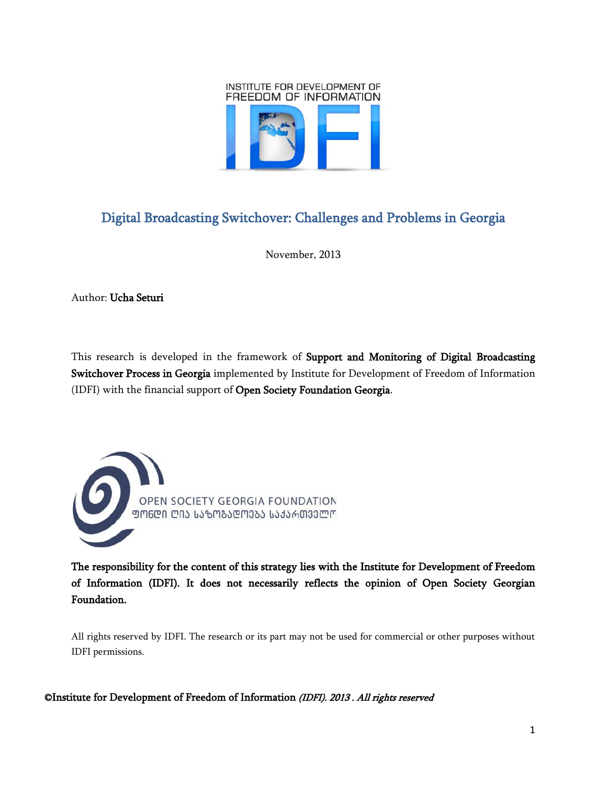

# <span id="page-0-0"></span>Digital Broadcasting Switchover: Challenges and Problems in Georgia

November, 2013

Author: Ucha Seturi

This research is developed in the framework of Support and Monitoring of Digital Broadcasting Switchover Process in Georgia implemented by Institute for Development of Freedom of Information (IDFI) with the financial support of Open Society Foundation Georgia.



The responsibility for the content of this strategy lies with the Institute for Development of Freedom of Information (IDFI). It does not necessarily reflects the opinion of Open Society Georgian Foundation.

All rights reserved by IDFI. The research or its part may not be used for commercial or other purposes without IDFI permissions.

©Institute for Development of Freedom of Information (IDFI). 2013 . All rights reserved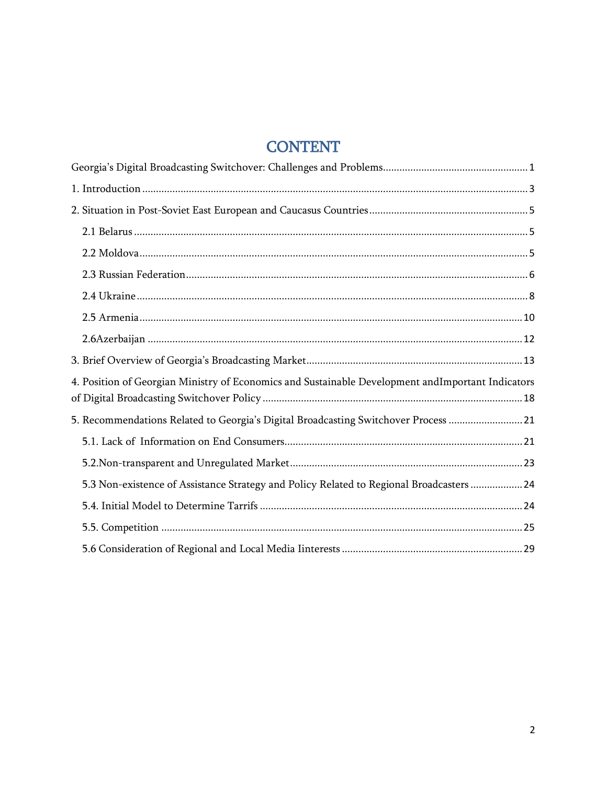# **CONTENT**

| 4. Position of Georgian Ministry of Economics and Sustainable Development andImportant Indicators |
|---------------------------------------------------------------------------------------------------|
| 5. Recommendations Related to Georgia's Digital Broadcasting Switchover Process  21               |
|                                                                                                   |
|                                                                                                   |
| 5.3 Non-existence of Assistance Strategy and Policy Related to Regional Broadcasters  24          |
|                                                                                                   |
|                                                                                                   |
|                                                                                                   |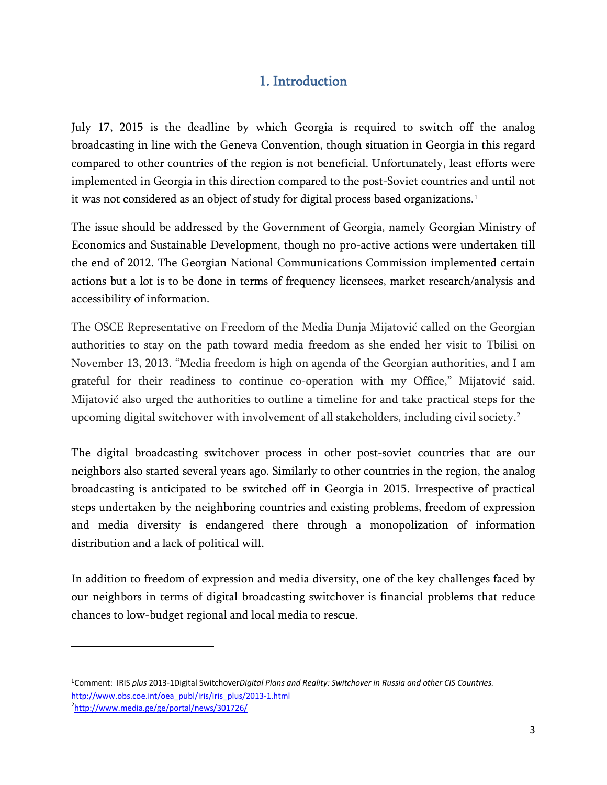# 1. Introduction

<span id="page-2-0"></span>July 17, 2015 is the deadline by which Georgia is required to switch off the analog broadcasting in line with the Geneva Convention, though situation in Georgia in this regard compared to other countries of the region is not beneficial. Unfortunately, least efforts were implemented in Georgia in this direction compared to the post-Soviet countries and until not it was not considered as an object of study for digital process based organizations.<sup>[1](#page-2-1)</sup>

The issue should be addressed by the Government of Georgia, namely Georgian Ministry of Economics and Sustainable Development, though no pro-active actions were undertaken till the end of 2012. The Georgian National Communications Commission implemented certain actions but a lot is to be done in terms of frequency licensees, market research/analysis and accessibility of information.

The OSCE Representative on Freedom of the Media Dunja Mijatović called on the Georgian authorities to stay on the path toward media freedom as she ended her visit to Tbilisi on November 13, 2013. "Media freedom is high on agenda of the Georgian authorities, and I am grateful for their readiness to continue co-operation with my Office," Mijatović said. Mijatović also urged the authorities to outline a timeline for and take practical steps for the upcoming digital switchover with involvement of all stakeholders, including civil society. [2](#page-2-2)

The digital broadcasting switchover process in other post-soviet countries that are our neighbors also started several years ago. Similarly to other countries in the region, the analog broadcasting is anticipated to be switched off in Georgia in 2015. Irrespective of practical steps undertaken by the neighboring countries and existing problems, freedom of expression and media diversity is endangered there through a monopolization of information distribution and a lack of political will.

In addition to freedom of expression and media diversity, one of the key challenges faced by our neighbors in terms of digital broadcasting switchover is financial problems that reduce chances to low-budget regional and local media to rescue.

l

<span id="page-2-1"></span><sup>1</sup>Comment: IRIS *plus* 2013-1Digital Switchover*Digital Plans and Reality: Switchover in Russia and other CIS Countries.*  [http://www.obs.coe.int/oea\\_publ/iris/iris\\_plus/2013-1.html](http://www.obs.coe.int/oea_publ/iris/iris_plus/2013-1.html)

<span id="page-2-2"></span><sup>2</sup> <http://www.media.ge/ge/portal/news/301726/>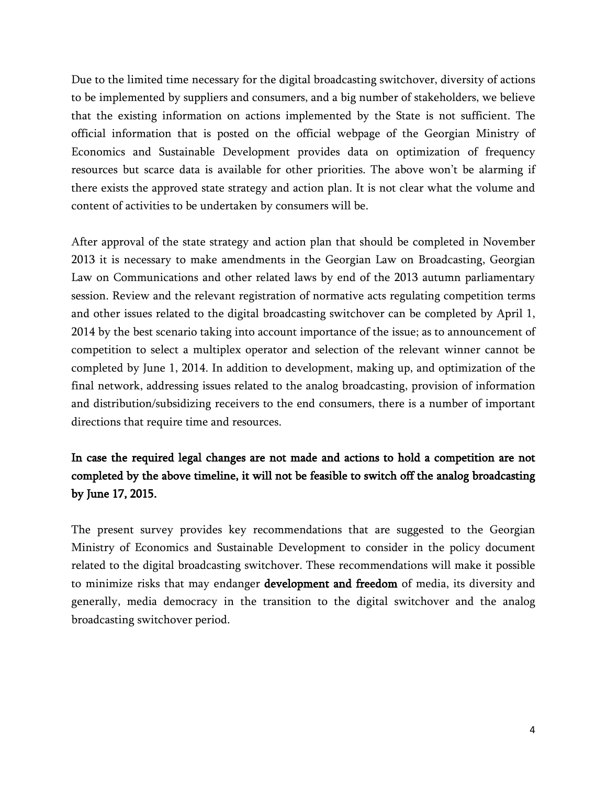Due to the limited time necessary for the digital broadcasting switchover, diversity of actions to be implemented by suppliers and consumers, and a big number of stakeholders, we believe that the existing information on actions implemented by the State is not sufficient. The official information that is posted on the official webpage of the Georgian Ministry of Economics and Sustainable Development provides data on optimization of frequency resources but scarce data is available for other priorities. The above won't be alarming if there exists the approved state strategy and action plan. It is not clear what the volume and content of activities to be undertaken by consumers will be.

After approval of the state strategy and action plan that should be completed in November 2013 it is necessary to make amendments in the Georgian Law on Broadcasting, Georgian Law on Communications and other related laws by end of the 2013 autumn parliamentary session. Review and the relevant registration of normative acts regulating competition terms and other issues related to the digital broadcasting switchover can be completed by April 1, 2014 by the best scenario taking into account importance of the issue; as to announcement of competition to select a multiplex operator and selection of the relevant winner cannot be completed by June 1, 2014. In addition to development, making up, and optimization of the final network, addressing issues related to the analog broadcasting, provision of information and distribution/subsidizing receivers to the end consumers, there is a number of important directions that require time and resources.

## In case the required legal changes are not made and actions to hold a competition are not completed by the above timeline, it will not be feasible to switch off the analog broadcasting by June 17, 2015.

The present survey provides key recommendations that are suggested to the Georgian Ministry of Economics and Sustainable Development to consider in the policy document related to the digital broadcasting switchover. These recommendations will make it possible to minimize risks that may endanger **development and freedom** of media, its diversity and generally, media democracy in the transition to the digital switchover and the analog broadcasting switchover period.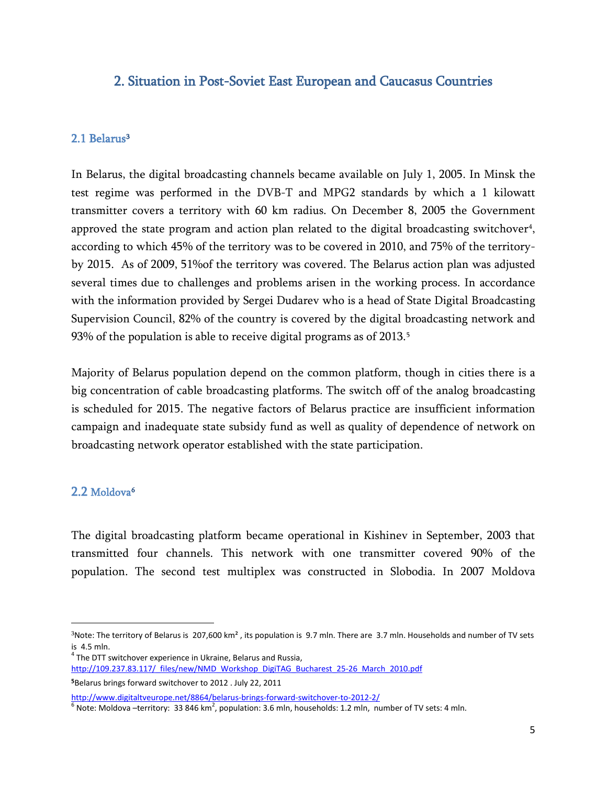### <span id="page-4-0"></span>2. Situation in Post-Soviet East European and Caucasus Countries

### <span id="page-4-1"></span>2.1 Belarus<sup>[3](#page-4-3)</sup>

In Belarus, the digital broadcasting channels became available on July 1, 2005. In Minsk the test regime was performed in the DVB-T and MPG2 standards by which a 1 kilowatt transmitter covers a territory with 60 km radius. On December 8, 2005 the Government approved the state program and action plan related to the digital broadcasting switchover<sup>[4](#page-4-4)</sup>, according to which 45% of the territory was to be covered in 2010, and 75% of the territoryby 2015. As of 2009, 51%of the territory was covered. The Belarus action plan was adjusted several times due to challenges and problems arisen in the working process. In accordance with the information provided by Sergei Dudarev who is a head of State Digital Broadcasting Supervision Council, 82% of the country is covered by the digital broadcasting network and 93% of the population is able to receive digital programs as of 2013.<sup>[5](#page-4-5)</sup>

Majority of Belarus population depend on the common platform, though in cities there is a big concentration of cable broadcasting platforms. The switch off of the analog broadcasting is scheduled for 2015. The negative factors of Belarus practice are insufficient information campaign and inadequate state subsidy fund as well as quality of dependence of network on broadcasting network operator established with the state participation.

### <span id="page-4-2"></span>2.2 Moldova<sup>[6](#page-4-6)</sup>

l

The digital broadcasting platform became operational in Kishinev in September, 2003 that transmitted four channels. This network with one transmitter covered 90% of the population. The second test multiplex was constructed in Slobodia. In 2007 Moldova

<span id="page-4-5"></span><sup>5</sup>Belarus brings forward switchover to 2012 . July 22, 2011

<span id="page-4-3"></span> $3$ Note: The territory of Belarus is 207,600 km<sup>2</sup>, its population is 9.7 mln. There are 3.7 mln. Households and number of TV sets is 4.5 mln.<br> $4$  The DTT switchover experience in Ukraine, Belarus and Russia,

<span id="page-4-4"></span>[http://109.237.83.117/\\_files/new/NMD\\_Workshop\\_DigiTAG\\_Bucharest\\_25-26\\_March\\_2010.pdf](http://109.237.83.117/_files/new/NMD_Workshop_DigiTAG_Bucharest_25-26_March_2010.pdf)

<span id="page-4-6"></span><sup>&</sup>lt;u><http://www.digitaltveurope.net/8864/belarus-brings-forward-switchover-to-2012-2/></u><br><sup>6</sup> Note: Moldova –territory: 33 846 km<sup>2</sup>, population: 3.6 mln, households: 1.2 mln, number of TV sets: 4 mln.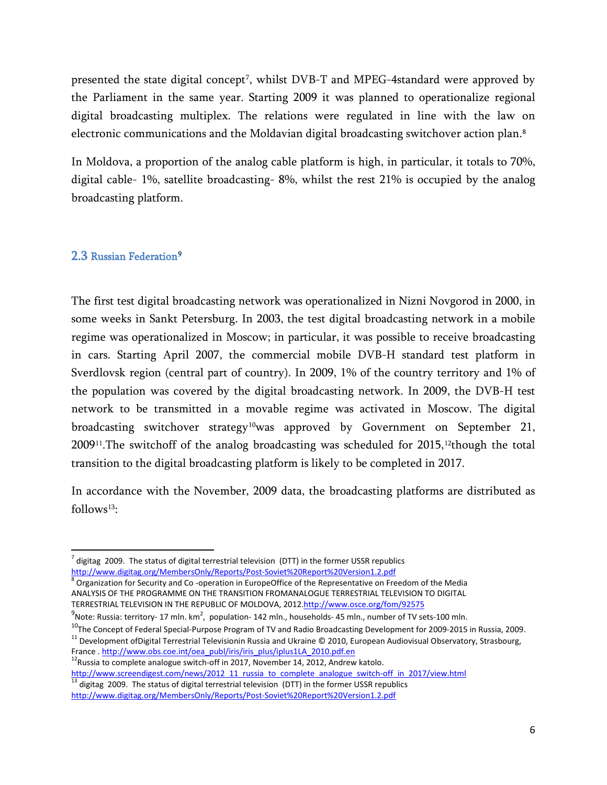presented the state digital concept<sup>7</sup>, whilst DVB-T and MPEG-4standard were approved by the Parliament in the same year. Starting 2009 it was planned to operationalize regional digital broadcasting multiplex. The relations were regulated in line with the law on electronic communications and the Moldavian digital broadcasting switchover action plan. [8](#page-5-2)

In Moldova, a proportion of the analog cable platform is high, in particular, it totals to 70%, digital cable- 1%, satellite broadcasting- 8%, whilst the rest 21% is occupied by the analog broadcasting platform.

### <span id="page-5-0"></span>2.3 Russian Federation<sup>[9](#page-5-3)</sup>

The first test digital broadcasting network was operationalized in Nizni Novgorod in 2000, in some weeks in Sankt Petersburg. In 2003, the test digital broadcasting network in a mobile regime was operationalized in Moscow; in particular, it was possible to receive broadcasting in cars. Starting April 2007, the commercial mobile DVB-H standard test platform in Sverdlovsk region (central part of country). In 2009, 1% of the country territory and 1% of the population was covered by the digital broadcasting network. In 2009, the DVB-H test network to be transmitted in a movable regime was activated in Moscow. The digital broadcasting switchover strategy<sup>10</sup>was approved by Government on September 21,  $2009$ <sup>[11](#page-5-5)</sup>. The switchoff of the analog broadcasting was scheduled for  $2015$ ,<sup>[12](#page-5-6)</sup>though the total transition to the digital broadcasting platform is likely to be completed in 2017.

In accordance with the November, 2009 data, the broadcasting platforms are distributed as follows<sup>[13](#page-5-7)</sup>:

<span id="page-5-1"></span> $^7$  digitag 2009. The status of digital terrestrial television (DTT) in the former USSR republics http://www.digitag.org/MembersOnly/Reports/Post-Soviet%20Report%20Version1.2.pdf

<span id="page-5-2"></span> $8$  Organization for Security and Co-operation in EuropeOffice of the Representative on Freedom of the Media ANALYSIS OF THE PROGRAMME ON THE TRANSITION FROMANALOGUE TERRESTRIAL TELEVISION TO DIGITAL TERRESTRIAL TELEVISION IN THE REPUBLIC OF MOLDOVA, 201[2.http://www.osce.org/fom/92575](http://www.osce.org/fom/92575)

 $^9$ Note: Russia: territory- 17 mln. km<sup>2</sup>, population- 142 mln., households- 45 mln., number of TV sets-100 mln.

<span id="page-5-4"></span><span id="page-5-3"></span>The Concept of Federal Special-Purpose Program of TV and Radio Broadcasting Development for 2009-2015 in Russia, 2009.<br><sup>11</sup> Development of Digital Terrestrial Televisionin Russia and Ukraine © 2010, European Audiovisual Ob

<span id="page-5-5"></span>

<span id="page-5-6"></span>France . [http://www.obs.coe.int/oea\\_publ/iris/iris\\_plus/iplus1LA\\_2010.pdf.en](http://www.obs.coe.int/oea_publ/iris/iris_plus/iplus1LA_2010.pdf.en) <sup>12</sup>Russia to complete analogue switch-off in 2017, November 14, 2012, Andrew katolo.<br>
http://www.screendigest.com/news/2012\_11\_russia\_to\_complet

<span id="page-5-7"></span>digitag 2009. The status of digital terrestrial television (DTT) in the former USSR republics <http://www.digitag.org/MembersOnly/Reports/Post-Soviet%20Report%20Version1.2.pdf>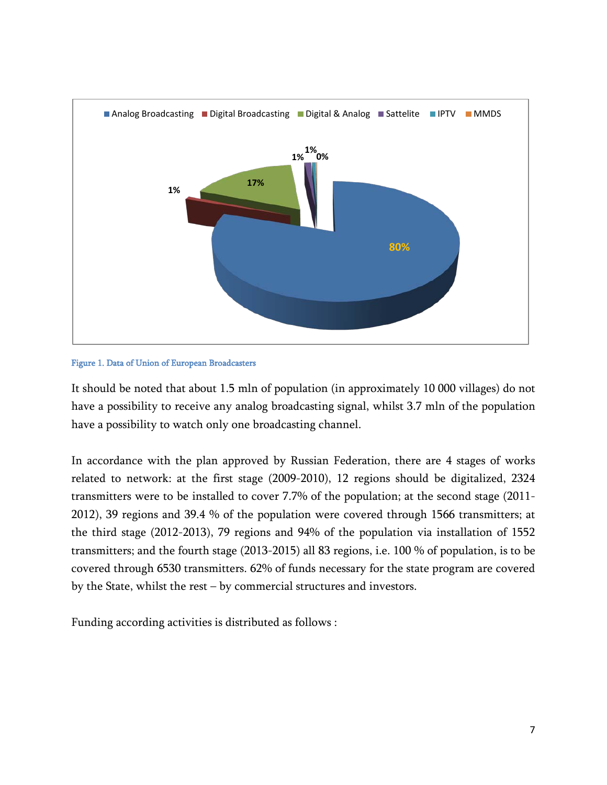

#### Figure 1. Data of Union of European Broadcasters

It should be noted that about 1.5 mln of population (in approximately 10 000 villages) do not have a possibility to receive any analog broadcasting signal, whilst 3.7 mln of the population have a possibility to watch only one broadcasting channel.

In accordance with the plan approved by Russian Federation, there are 4 stages of works related to network: at the first stage (2009-2010), 12 regions should be digitalized, 2324 transmitters were to be installed to cover 7.7% of the population; at the second stage (2011- 2012), 39 regions and 39.4 % of the population were covered through 1566 transmitters; at the third stage (2012-2013), 79 regions and 94% of the population via installation of 1552 transmitters; and the fourth stage (2013-2015) all 83 regions, i.e. 100 % of population, is to be covered through 6530 transmitters. 62% of funds necessary for the state program are covered by the State, whilst the rest – by commercial structures and investors.

Funding according activities is distributed as follows :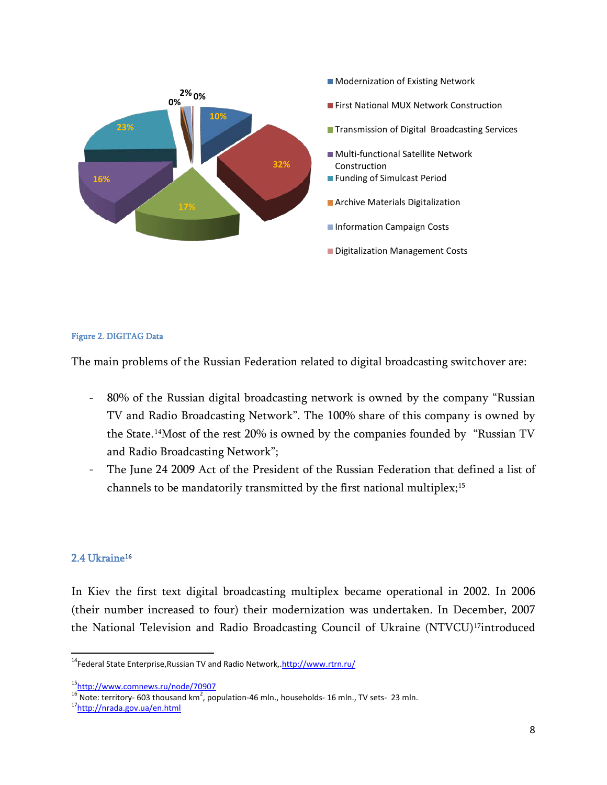

#### Figure 2. DIGITAG Data

The main problems of the Russian Federation related to digital broadcasting switchover are:

- 80% of the Russian digital broadcasting network is owned by the company "Russian TV and Radio Broadcasting Network". The 100% share of this company is owned by the State.[14](#page-7-1) Most of the rest 20% is owned by the companies founded by "Russian TV and Radio Broadcasting Network";
- The June 24 2009 Act of the President of the Russian Federation that defined a list of channels to be mandatorily transmitted by the first national multiplex; [15](#page-7-2)

#### <span id="page-7-0"></span>2.4 Ukraine<sup>16</sup>

In Kiev the first text digital broadcasting multiplex became operational in 2002. In 2006 (their number increased to four) their modernization was undertaken. In December, 2007 the National Television and Radio Broadcasting Council of Ukraine (NTVCU)<sup>[17](#page-7-4)</sup>introduced

<span id="page-7-1"></span>nders<br><sup>14</sup>Federal State Enterprise,Russian TV and Radio Network, <http://www.rtrn.ru/>

<span id="page-7-2"></span>[<sup>15</sup>http://www.comnews.ru/node/70907](http://www.comnews.ru/node/70907)

<span id="page-7-3"></span><sup>&</sup>lt;sup>16</sup> Note: territory- 603 thousand km<sup>2</sup>, population-46 mln., households- 16 mln., TV sets- 23 mln.<br><sup>17</sup><u>http://nrada.gov.ua/en.html</u>

<span id="page-7-4"></span>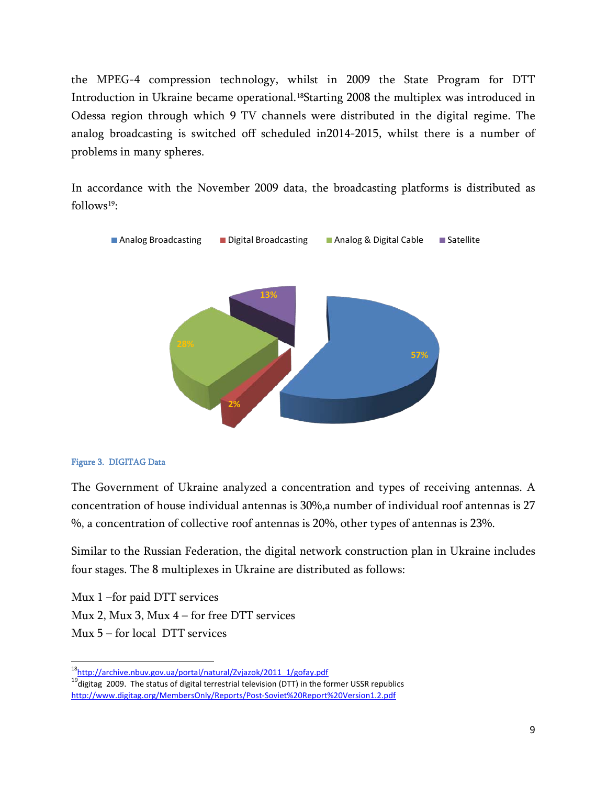the MPEG-4 compression technology, whilst in 2009 the State Program for DTT Introduction in Ukraine became operational. [18](#page-8-0)Starting 2008 the multiplex was introduced in Odessa region through which 9 TV channels were distributed in the digital regime. The analog broadcasting is switched off scheduled in2014-2015, whilst there is a number of problems in many spheres.

In accordance with the November 2009 data, the broadcasting platforms is distributed as  $follows<sup>19</sup>$ :



#### Figure 3. DIGITAG Data

The Government of Ukraine analyzed a concentration and types of receiving antennas. A concentration of house individual antennas is 30%,a number of individual roof antennas is 27 %, a concentration of collective roof antennas is 20%, other types of antennas is 23%.

Similar to the Russian Federation, the digital network construction plan in Ukraine includes four stages. The 8 multiplexes in Ukraine are distributed as follows:

Mux 1 –for paid DTT services Mux 2, Mux 3, Mux 4 – for free DTT services Mux 5 – for local DTT services

<span id="page-8-0"></span>[18http://archive.nbuv.gov.ua/portal/natural/Zvjazok/2011\\_1/gofay.pdf](http://archive.nbuv.gov.ua/portal/natural/Zvjazok/2011_1/gofay.pdf)

<span id="page-8-1"></span> $^{19}$ digitag 2009. The status of digital terrestrial television (DTT) in the former USSR republics <http://www.digitag.org/MembersOnly/Reports/Post-Soviet%20Report%20Version1.2.pdf>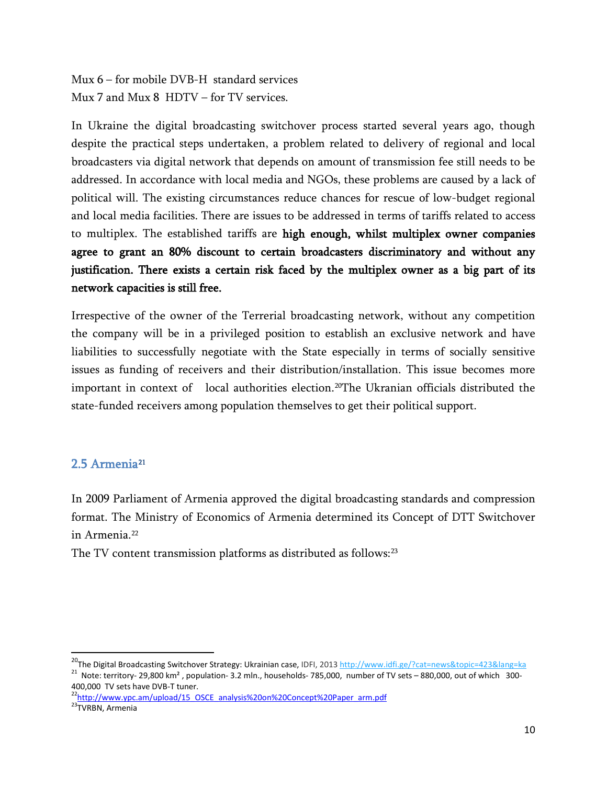Mux 6 – for mobile DVB-H standard services Mux 7 and Mux 8 HDTV – for TV services.

In Ukraine the digital broadcasting switchover process started several years ago, though despite the practical steps undertaken, a problem related to delivery of regional and local broadcasters via digital network that depends on amount of transmission fee still needs to be addressed. In accordance with local media and NGOs, these problems are caused by a lack of political will. The existing circumstances reduce chances for rescue of low-budget regional and local media facilities. There are issues to be addressed in terms of tariffs related to access to multiplex. The established tariffs are high enough, whilst multiplex owner companies agree to grant an 80% discount to certain broadcasters discriminatory and without any justification. There exists a certain risk faced by the multiplex owner as a big part of its network capacities is still free.

Irrespective of the owner of the Terrerial broadcasting network, without any competition the company will be in a privileged position to establish an exclusive network and have liabilities to successfully negotiate with the State especially in terms of socially sensitive issues as funding of receivers and their distribution/installation. This issue becomes more important in context of local authorities election.[20](#page-9-1) The Ukranian officials distributed the state-funded receivers among population themselves to get their political support.

### <span id="page-9-0"></span>2.5 Armenia<sup>[21](#page-9-2)</sup>

In 2009 Parliament of Armenia approved the digital broadcasting standards and compression format. The Ministry of Economics of Armenia determined its Concept of DTT Switchover in Armenia.<sup>[22](#page-9-3)</sup>

The TV content transmission platforms as distributed as follows:<sup>[23](#page-9-4)</sup>

<span id="page-9-2"></span><span id="page-9-1"></span><sup>&</sup>lt;sup>20</sup>The Digital Broadcasting Switchover Strategy: Ukrainian case, IDFI, 2013<http://www.idfi.ge/?cat=news&topic=423&lang=ka><br><sup>21</sup> Note: territory- 29,800 km<sup>2</sup>, population- 3.2 mln., households- 785,000, number of TV sets

<span id="page-9-3"></span><sup>&</sup>lt;sup>22</sup>http://www.ypc.am/upload/15\_OSCE\_analysis%20on%20Concept%20Paper\_arm.pdf

<span id="page-9-4"></span><sup>&</sup>lt;sup>23</sup>TVRBN, Armenia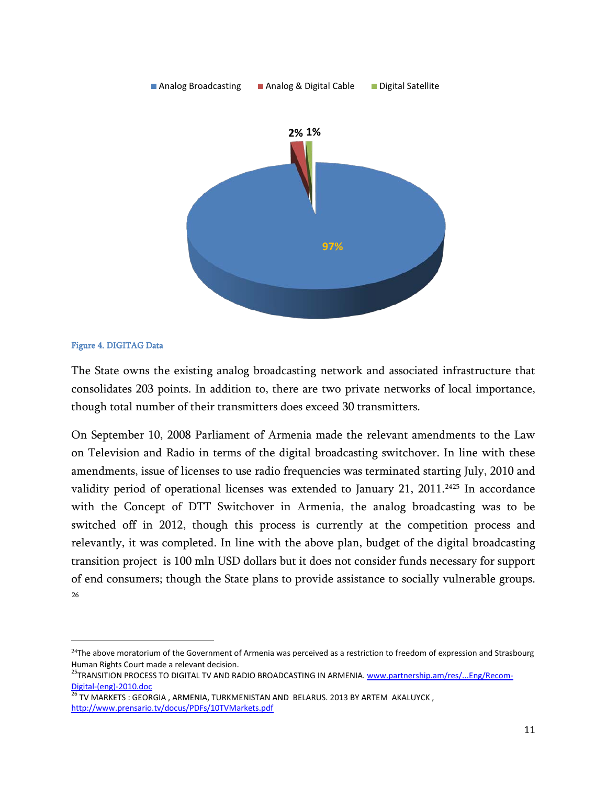

#### Figure 4. DIGITAG Data

l

The State owns the existing analog broadcasting network and associated infrastructure that consolidates 203 points. In addition to, there are two private networks of local importance, though total number of their transmitters does exceed 30 transmitters.

On September 10, 2008 Parliament of Armenia made the relevant amendments to the Law on Television and Radio in terms of the digital broadcasting switchover. In line with these amendments, issue of licenses to use radio frequencies was terminated starting July, 2010 and validity period of operational licenses was extended to January 21, 2011.<sup>[24](#page-10-0)[25](#page-10-1)</sup> In accordance with the Concept of DTT Switchover in Armenia, the analog broadcasting was to be switched off in 2012, though this process is currently at the competition process and relevantly, it was completed. In line with the above plan, budget of the digital broadcasting transition project is 100 mln USD dollars but it does not consider funds necessary for support of end consumers; though the State plans to provide assistance to socially vulnerable groups. [26](#page-10-2)

<span id="page-10-0"></span><sup>&</sup>lt;sup>24</sup>The above moratorium of the Government of Armenia was perceived as a restriction to freedom of expression and Strasbourg Human Rights Court made a relevant decision.

<span id="page-10-1"></span><sup>&</sup>lt;sup>25</sup>TRANSITION PROCESS TO DIGITAL TV AND RADIO BROADCASTING IN ARMENIA[. www.partnership.am/res/...Eng/Recom-](http://www.partnership.am/res/...Eng/Recom-Digital-(eng)-2010.doc)

<span id="page-10-2"></span> $\frac{\text{Digital-}(\text{eng})\text{-}2010.\text{doc}}{26}$ TV MARKETS : GEORGIA , ARMENIA, TURKMENISTAN AND BELARUS. 2013 BY ARTEM AKALUYCK , <http://www.prensario.tv/docus/PDFs/10TVMarkets.pdf>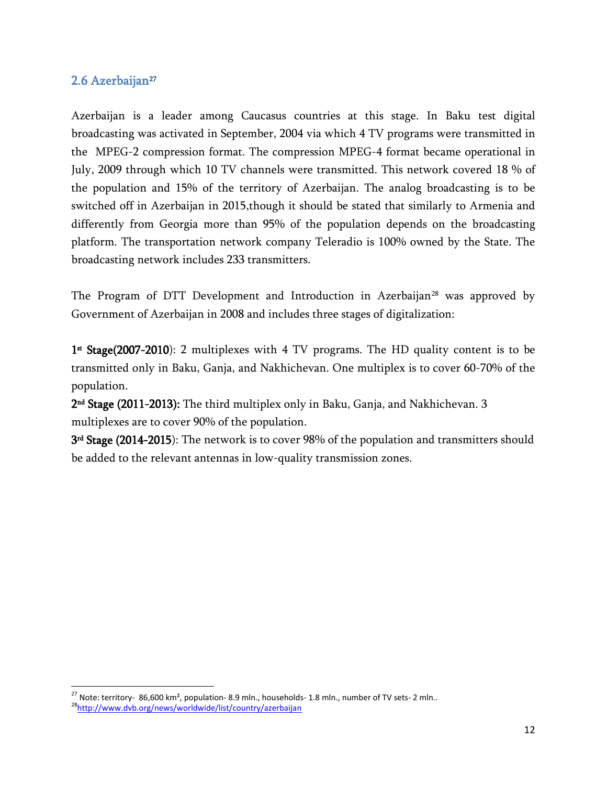### <span id="page-11-0"></span>2.6 Azerbaijan<sup>[27](#page-11-1)</sup>

Azerbaijan is a leader among Caucasus countries at this stage. In Baku test digital broadcasting was activated in September, 2004 via which 4 TV programs were transmitted in the MPEG-2 compression format. The compression MPEG-4 format became operational in July, 2009 through which 10 TV channels were transmitted. This network covered 18 % of the population and 15% of the territory of Azerbaijan. The analog broadcasting is to be switched off in Azerbaijan in 2015,though it should be stated that similarly to Armenia and differently from Georgia more than 95% of the population depends on the broadcasting platform. The transportation network company Teleradio is 100% owned by the State. The broadcasting network includes 233 transmitters.

The Program of DTT Development and Introduction in Azerbaijan<sup>[28](#page-11-2)</sup> was approved by Government of Azerbaijan in 2008 and includes three stages of digitalization:

1st Stage(2007-2010): 2 multiplexes with 4 TV programs. The HD quality content is to be transmitted only in Baku, Ganja, and Nakhichevan. One multiplex is to cover 60-70% of the population.

2nd Stage (2011-2013): The third multiplex only in Baku, Ganja, and Nakhichevan. 3 multiplexes are to cover 90% of the population.

3rd Stage (2014-2015): The network is to cover 98% of the population and transmitters should be added to the relevant antennas in low-quality transmission zones.

<span id="page-11-2"></span><span id="page-11-1"></span><sup>&</sup>lt;sup>27</sup> Note: territory- 86,600 km<sup>2</sup>, population- 8.9 mln., households- 1.8 mln., number of TV sets- 2 mln.. <sup>28</sup>http://www.dvb.org/news/worldwide/list/country/azerbaijan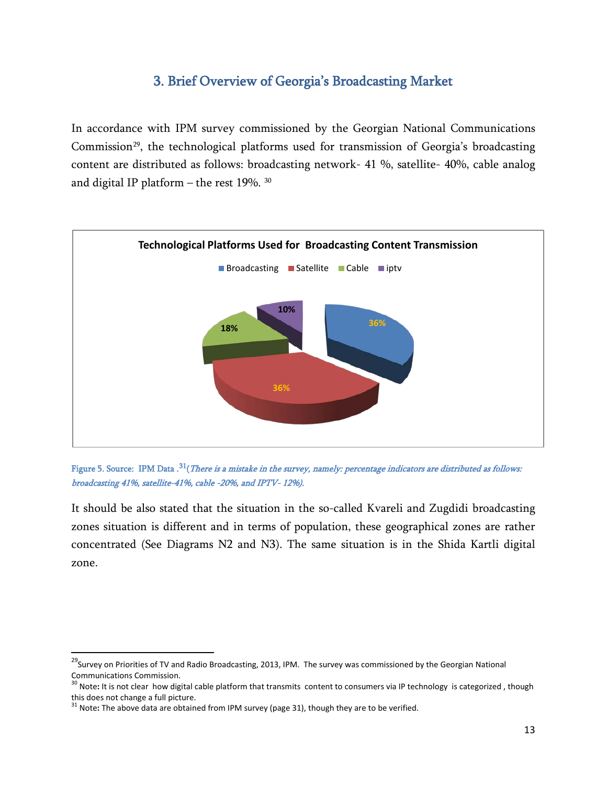## 3. Brief Overview of Georgia's Broadcasting Market

<span id="page-12-0"></span>In accordance with IPM survey commissioned by the Georgian National Communications Commission<sup>[29](#page-12-1)</sup>, the technological platforms used for transmission of Georgia's broadcasting content are distributed as follows: broadcasting network- 41 %, satellite- 40%, cable analog and digital IP platform – the rest 19%. [30](#page-12-2)



Figure 5. Source: IPM Data .<sup>[31](#page-12-3)</sup>(*There is a mistake in the survey, namely: percentage indicators are distributed as follows:* broadcasting 41%, satellite-41%, cable -20%, and IPTV- 12%).

It should be also stated that the situation in the so-called Kvareli and Zugdidi broadcasting zones situation is different and in terms of population, these geographical zones are rather concentrated (See Diagrams N2 and N3). The same situation is in the Shida Kartli digital zone.

<span id="page-12-1"></span><sup>&</sup>lt;sup>29</sup>Survey on Priorities of TV and Radio Broadcasting, 2013, IPM. The survey was commissioned by the Georgian National Communications Commission.

<span id="page-12-2"></span><sup>&</sup>lt;sup>30</sup> Note: It is not clear how digital cable platform that transmits content to consumers via IP technology is categorized, though this does not change a full picture.<br><sup>31</sup> Note: The above data are obtained from IPM survey (page 31), though they are to be verified.

<span id="page-12-3"></span>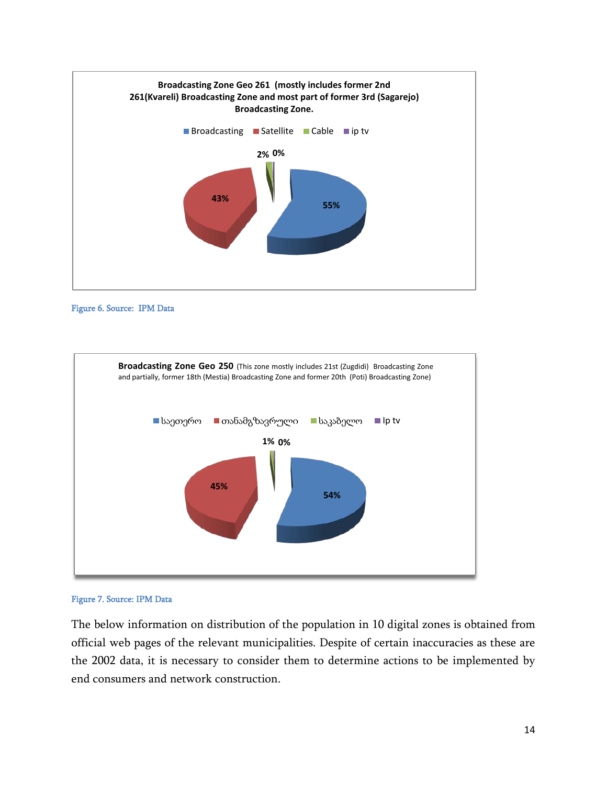





Figure 7. Source: IPM Data

The below information on distribution of the population in 10 digital zones is obtained from official web pages of the relevant municipalities. Despite of certain inaccuracies as these are the 2002 data, it is necessary to consider them to determine actions to be implemented by end consumers and network construction.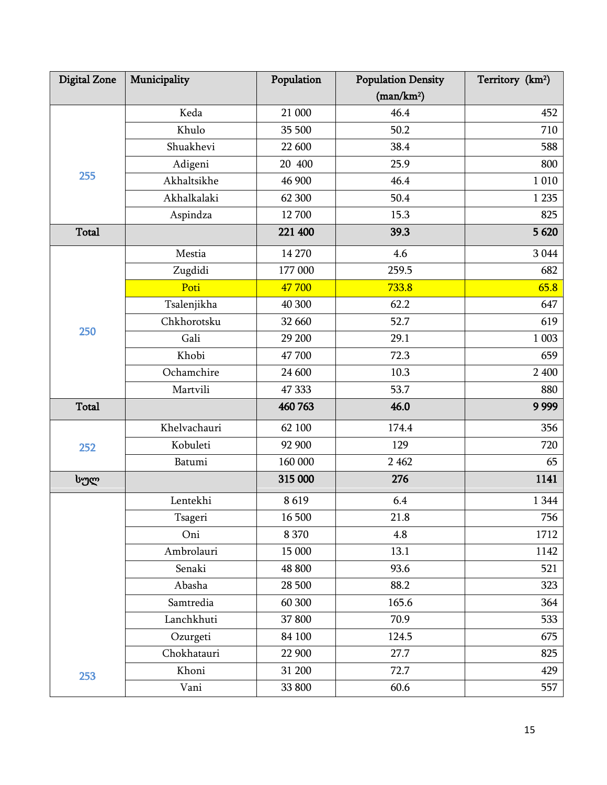| <b>Digital Zone</b> | Municipality | Population | <b>Population Density</b> | Territory (km <sup>2</sup> ) |
|---------------------|--------------|------------|---------------------------|------------------------------|
|                     |              |            | (man/km <sup>2</sup> )    |                              |
|                     | Keda         | 21 000     | 46.4                      | 452                          |
|                     | Khulo        | 35 500     | 50.2                      | 710                          |
|                     | Shuakhevi    | 22 600     | 38.4                      | 588                          |
|                     | Adigeni      | 20 400     | 25.9                      | 800                          |
| 255                 | Akhaltsikhe  | 46 900     | 46.4                      | 1 0 1 0                      |
|                     | Akhalkalaki  | 62 300     | 50.4                      | 1 2 3 5                      |
|                     | Aspindza     | 12 700     | 15.3                      | 825                          |
| Total               |              | 221 400    | 39.3                      | 5 6 20                       |
|                     | Mestia       | 14 270     | 4.6                       | 3 0 4 4                      |
|                     | Zugdidi      | 177 000    | 259.5                     | 682                          |
|                     | Poti         | 47 700     | 733.8                     | 65.8                         |
|                     | Tsalenjikha  | 40 300     | 62.2                      | 647                          |
|                     | Chkhorotsku  | 32 660     | 52.7                      | 619                          |
| 250                 | Gali         | 29 200     | 29.1                      | 1 003                        |
|                     | Khobi        | 47 700     | 72.3                      | 659                          |
|                     | Ochamchire   | 24 600     | 10.3                      | 2 400                        |
|                     | Martvili     | 47 333     | 53.7                      | 880                          |
| <b>Total</b>        |              | 460 763    | 46.0                      | 9 9 9 9                      |
|                     | Khelvachauri | 62 100     | 174.4                     | 356                          |
| 252                 | Kobuleti     | 92 900     | 129                       | 720                          |
|                     | Batumi       | 160 000    | 2 4 6 2                   | 65                           |
| სულ                 |              | 315 000    | 276                       | 1141                         |
|                     | Lentekhi     | 8619       | 6.4                       | 1 3 4 4                      |
|                     | Tsageri      | 16 500     | 21.8                      | 756                          |
|                     | Oni          | 8 3 7 0    | 4.8                       | 1712                         |
|                     | Ambrolauri   | 15 000     | 13.1                      | 1142                         |
|                     | Senaki       | 48 800     | 93.6                      | 521                          |
|                     | Abasha       | 28 500     | 88.2                      | 323                          |
|                     | Samtredia    | 60 300     | 165.6                     | 364                          |
|                     | Lanchkhuti   | 37 800     | 70.9                      | 533                          |
|                     | Ozurgeti     | 84 100     | 124.5                     | 675                          |
|                     | Chokhatauri  | 22 900     | 27.7                      | 825                          |
| 253                 | Khoni        | 31 200     | 72.7                      | 429                          |
|                     | Vani         | 33 800     | 60.6                      | 557                          |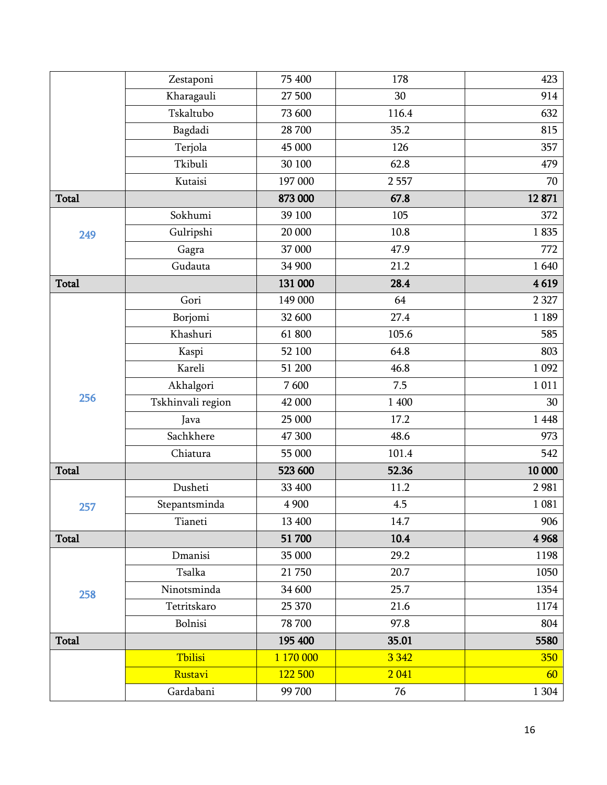|              | Zestaponi         | 75 400    | 178     | 423     |
|--------------|-------------------|-----------|---------|---------|
|              | Kharagauli        | 27 500    | 30      | 914     |
|              | Tskaltubo         | 73 600    | 116.4   | 632     |
|              | Bagdadi           | 28 700    | 35.2    | 815     |
|              | Terjola           | 45 000    | 126     | 357     |
|              | Tkibuli           | 30 100    | 62.8    | 479     |
|              | Kutaisi           | 197 000   | 2557    | 70      |
| <b>Total</b> |                   | 873 000   | 67.8    | 12871   |
|              | Sokhumi           | 39 100    | 105     | 372     |
| 249          | Gulripshi         | 20 000    | 10.8    | 1835    |
|              | Gagra             | 37 000    | 47.9    | 772     |
|              | Gudauta           | 34 900    | 21.2    | 1640    |
| Total        |                   | 131 000   | 28.4    | 4619    |
|              | Gori              | 149 000   | 64      | 2 3 2 7 |
|              | Borjomi           | 32 600    | 27.4    | 1 1 8 9 |
|              | Khashuri          | 61 800    | 105.6   | 585     |
|              | Kaspi             | 52 100    | 64.8    | 803     |
|              | Kareli            | 51 200    | 46.8    | 1 0 9 2 |
| 256          | Akhalgori         | 7600      | 7.5     | 1 0 1 1 |
|              | Tskhinvali region | 42 000    | 1 400   | 30      |
|              | Java              | 25 000    | 17.2    | 1 4 4 8 |
|              | Sachkhere         | 47 300    | 48.6    | 973     |
|              | Chiatura          | 55 000    | 101.4   | 542     |
| <b>Total</b> |                   | 523 600   | 52.36   | 10 000  |
|              | Dusheti           | 33 400    | 11.2    | 2981    |
| 257          | Stepantsminda     | 4 900     | 4.5     | 1 0 8 1 |
|              | Tianeti           | 13 400    | 14.7    | 906     |
| <b>Total</b> |                   | 51 700    | 10.4    | 4 9 6 8 |
| 258          | Dmanisi           | 35 000    | 29.2    | 1198    |
|              | Tsalka            | 21750     | 20.7    | 1050    |
|              | Ninotsminda       | 34 600    | 25.7    | 1354    |
|              | Tetritskaro       | 25 370    | 21.6    | 1174    |
|              | Bolnisi           | 78 700    | 97.8    | 804     |
| Total        |                   | 195 400   | 35.01   | 5580    |
|              | Tbilisi           | 1 170 000 | 3 3 4 2 | 350     |
|              | Rustavi           | 122 500   | 2041    | 60      |
|              | Gardabani         | 99 700    | 76      | 1 3 0 4 |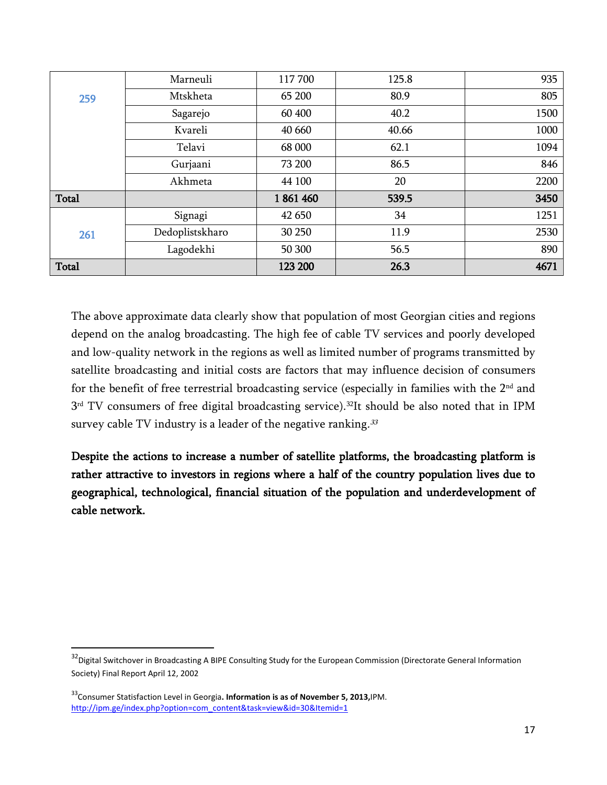|              | Marneuli        | 117700  | 125.8 | 935  |
|--------------|-----------------|---------|-------|------|
| 259          | Mtskheta        | 65 200  | 80.9  | 805  |
|              | Sagarejo        | 60 400  | 40.2  | 1500 |
|              | Kvareli         | 40 660  | 40.66 | 1000 |
|              | Telavi          | 68 000  | 62.1  | 1094 |
|              | Gurjaani        | 73 200  | 86.5  | 846  |
|              | Akhmeta         | 44 100  | 20    | 2200 |
| Total        |                 | 1861460 | 539.5 | 3450 |
|              | Signagi         | 42 650  | 34    | 1251 |
| 261          | Dedoplistskharo | 30 250  | 11.9  | 2530 |
|              | Lagodekhi       | 50 300  | 56.5  | 890  |
| <b>Total</b> |                 | 123 200 | 26.3  | 4671 |

The above approximate data clearly show that population of most Georgian cities and regions depend on the analog broadcasting. The high fee of cable TV services and poorly developed and low-quality network in the regions as well as limited number of programs transmitted by satellite broadcasting and initial costs are factors that may influence decision of consumers for the benefit of free terrestrial broadcasting service (especially in families with the 2<sup>nd</sup> and 3<sup>rd</sup> TV consumers of free digital broadcasting service).<sup>32</sup>It should be also noted that in IPM survey cable TV industry is a leader of the negative ranking.  $33$ 

Despite the actions to increase a number of satellite platforms, the broadcasting platform is rather attractive to investors in regions where a half of the country population lives due to geographical, technological, financial situation of the population and underdevelopment of cable network.

<span id="page-16-0"></span><sup>&</sup>lt;sup>32</sup>Digital Switchover in Broadcasting A BIPE Consulting Study for the European Commission (Directorate General Information Society) Final Report April 12, 2002

<span id="page-16-1"></span><sup>33</sup>Consumer Statisfaction Level in Georgia**. Information is as of November 5, 2013,**IPM. [http://ipm.ge/index.php?option=com\\_content&task=view&id=30&Itemid=1](http://ipm.ge/index.php?option=com_content&task=view&id=30&Itemid=1)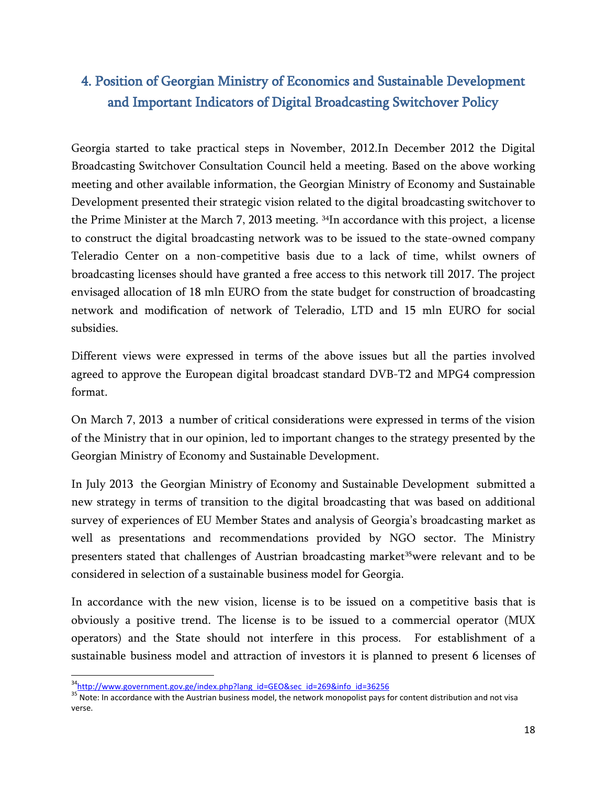# <span id="page-17-0"></span>4. Position of Georgian Ministry of Economics and Sustainable Development and Important Indicators of Digital Broadcasting Switchover Policy

Georgia started to take practical steps in November, 2012.In December 2012 the Digital Broadcasting Switchover Consultation Council held a meeting. Based on the above working meeting and other available information, the Georgian Ministry of Economy and Sustainable Development presented their strategic vision related to the digital broadcasting switchover to the Prime Minister at the March 7, 2013 meeting. <sup>[34](#page-17-1)</sup>In accordance with this project, a license to construct the digital broadcasting network was to be issued to the state-owned company Teleradio Center on a non-competitive basis due to a lack of time, whilst owners of broadcasting licenses should have granted a free access to this network till 2017. The project envisaged allocation of 18 mln EURO from the state budget for construction of broadcasting network and modification of network of Teleradio, LTD and 15 mln EURO for social subsidies.

Different views were expressed in terms of the above issues but all the parties involved agreed to approve the European digital broadcast standard DVB-T2 and MPG4 compression format.

On March 7, 2013 a number of critical considerations were expressed in terms of the vision of the Ministry that in our opinion, led to important changes to the strategy presented by the Georgian Ministry of Economy and Sustainable Development.

In July 2013 the Georgian Ministry of Economy and Sustainable Development submitted a new strategy in terms of transition to the digital broadcasting that was based on additional survey of experiences of EU Member States and analysis of Georgia's broadcasting market as well as presentations and recommendations provided by NGO sector. The Ministry presenters stated that challenges of Austrian broadcasting market<sup>[35](#page-17-2)</sup>were relevant and to be considered in selection of a sustainable business model for Georgia.

In accordance with the new vision, license is to be issued on a competitive basis that is obviously a positive trend. The license is to be issued to a commercial operator (МUX operators) and the State should not interfere in this process. For establishment of a sustainable business model and attraction of investors it is planned to present 6 licenses of

<span id="page-17-2"></span><span id="page-17-1"></span><sup>&</sup>lt;sup>34</sup>http://www.government.gov.ge/index.php?lang\_id=GEO&sec\_id=269&info\_id=36256<br><sup>35</sup> Note: In accordance with the Austrian business model, the network monopolist pays for content distribution and not visa verse.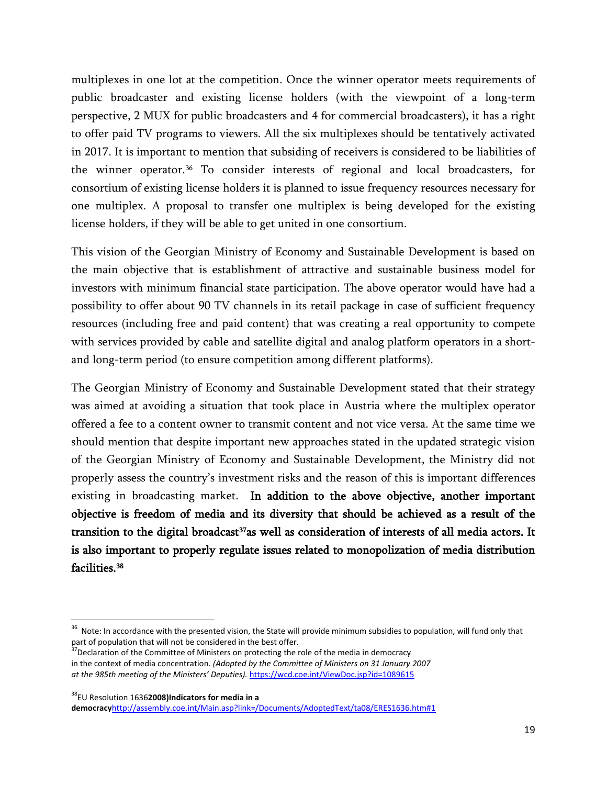multiplexes in one lot at the competition. Once the winner operator meets requirements of public broadcaster and existing license holders (with the viewpoint of a long-term perspective, 2 MUX for public broadcasters and 4 for commercial broadcasters), it has a right to offer paid TV programs to viewers. All the six multiplexes should be tentatively activated in 2017. It is important to mention that subsiding of receivers is considered to be liabilities of the winner operator.<sup>[36](#page-18-0)</sup> To consider interests of regional and local broadcasters, for consortium of existing license holders it is planned to issue frequency resources necessary for one multiplex. A proposal to transfer one multiplex is being developed for the existing license holders, if they will be able to get united in one consortium.

This vision of the Georgian Ministry of Economy and Sustainable Development is based on the main objective that is establishment of attractive and sustainable business model for investors with minimum financial state participation. The above operator would have had a possibility to offer about 90 TV channels in its retail package in case of sufficient frequency resources (including free and paid content) that was creating a real opportunity to compete with services provided by cable and satellite digital and analog platform operators in a shortand long-term period (to ensure competition among different platforms).

The Georgian Ministry of Economy and Sustainable Development stated that their strategy was aimed at avoiding a situation that took place in Austria where the multiplex operator offered a fee to a content owner to transmit content and not vice versa. At the same time we should mention that despite important new approaches stated in the updated strategic vision of the Georgian Ministry of Economy and Sustainable Development, the Ministry did not properly assess the country's investment risks and the reason of this is important differences existing in broadcasting market. In addition to the above objective, another important objective is freedom of media and its diversity that should be achieved as a result of the transition to the digital broadcast<sup>37</sup>as well as consideration of interests of all media actors. It is also important to properly regulate issues related to monopolization of media distribution facilities.<sup>38</sup>

<span id="page-18-2"></span>38EU Resolution 1636**2008)Indicators for media in a** 

**democracy**<http://assembly.coe.int/Main.asp?link=/Documents/AdoptedText/ta08/ERES1636.htm#1>

<span id="page-18-0"></span><sup>&</sup>lt;sup>36</sup> Note: In accordance with the presented vision, the State will provide minimum subsidies to population, will fund only that part of population that will not be considered in the best offer.<br><sup>37</sup>Declaration of the Committee of Ministers on protecting the role of the media in democracy

<span id="page-18-1"></span>in the context of media concentration. *(Adopted by the Committee of Ministers on 31 January 2007 at the 985th meeting of the Ministers' Deputies).* <https://wcd.coe.int/ViewDoc.jsp?id=1089615>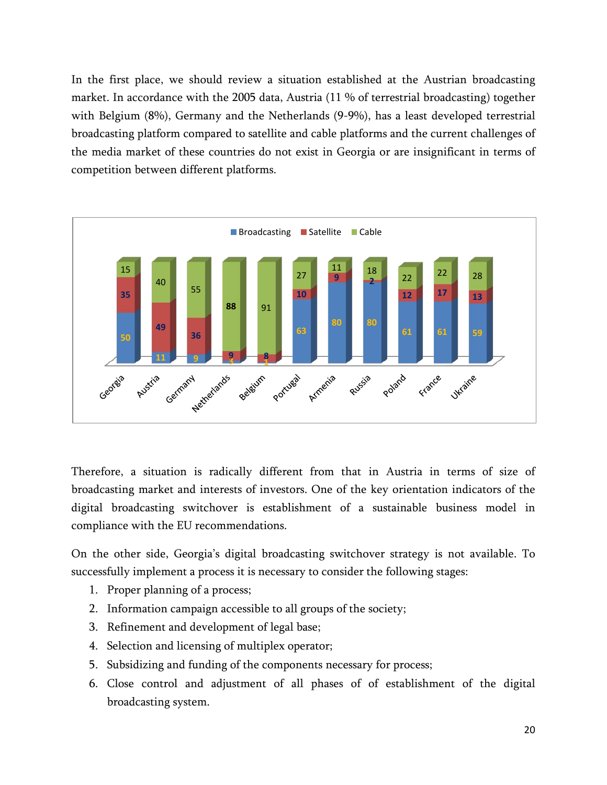In the first place, we should review a situation established at the Austrian broadcasting market. In accordance with the 2005 data, Austria (11 % of terrestrial broadcasting) together with Belgium (8%), Germany and the Netherlands (9-9%), has a least developed terrestrial broadcasting platform compared to satellite and cable platforms and the current challenges of the media market of these countries do not exist in Georgia or are insignificant in terms of competition between different platforms.



Therefore, a situation is radically different from that in Austria in terms of size of broadcasting market and interests of investors. One of the key orientation indicators of the digital broadcasting switchover is establishment of a sustainable business model in compliance with the EU recommendations.

On the other side, Georgia's digital broadcasting switchover strategy is not available. To successfully implement a process it is necessary to consider the following stages:

- 1. Proper planning of a process;
- 2. Information campaign accessible to all groups of the society;
- 3. Refinement and development of legal base;
- 4. Selection and licensing of multiplex operator;
- 5. Subsidizing and funding of the components necessary for process;
- 6. Close control and adjustment of all phases of of establishment of the digital broadcasting system.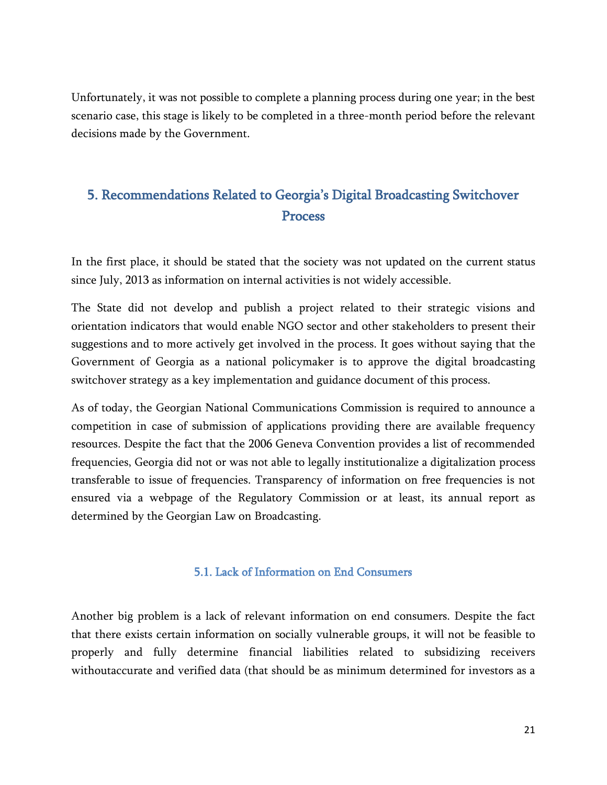Unfortunately, it was not possible to complete a planning process during one year; in the best scenario case, this stage is likely to be completed in a three-month period before the relevant decisions made by the Government.

# <span id="page-20-0"></span>5. Recommendations Related to Georgia's Digital Broadcasting Switchover Process

In the first place, it should be stated that the society was not updated on the current status since July, 2013 as information on internal activities is not widely accessible.

The State did not develop and publish a project related to their strategic visions and orientation indicators that would enable NGO sector and other stakeholders to present their suggestions and to more actively get involved in the process. It goes without saying that the Government of Georgia as a national policymaker is to approve the digital broadcasting switchover strategy as a key implementation and guidance document of this process.

As of today, the Georgian National Communications Commission is required to announce a competition in case of submission of applications providing there are available frequency resources. Despite the fact that the 2006 Geneva Convention provides a list of recommended frequencies, Georgia did not or was not able to legally institutionalize a digitalization process transferable to issue of frequencies. Transparency of information on free frequencies is not ensured via a webpage of the Regulatory Commission or at least, its annual report as determined by the Georgian Law on Broadcasting.

### 5.1. Lack of Information on End Consumers

<span id="page-20-1"></span>Another big problem is a lack of relevant information on end consumers. Despite the fact that there exists certain information on socially vulnerable groups, it will not be feasible to properly and fully determine financial liabilities related to subsidizing receivers withoutaccurate and verified data (that should be as minimum determined for investors as a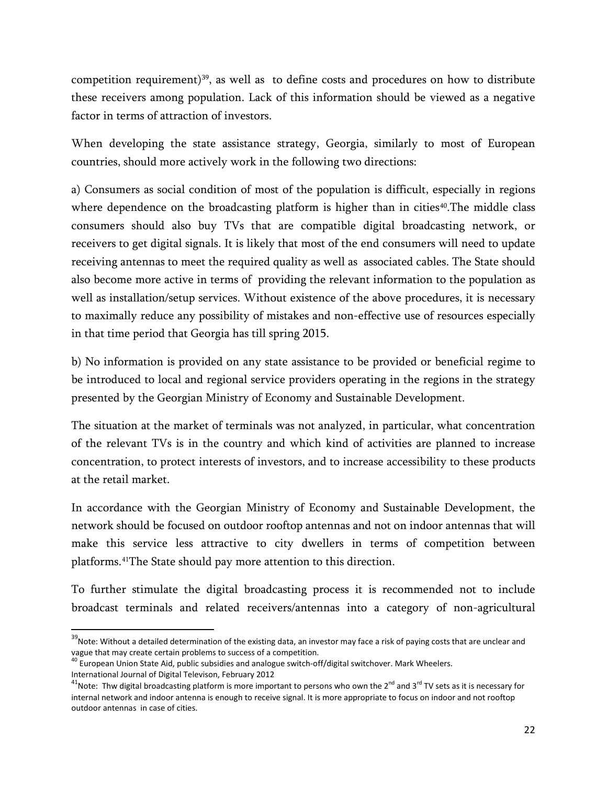competition requirement)<sup>[39](#page-21-0)</sup>, as well as to define costs and procedures on how to distribute these receivers among population. Lack of this information should be viewed as a negative factor in terms of attraction of investors.

When developing the state assistance strategy, Georgia, similarly to most of European countries, should more actively work in the following two directions:

a) Consumers as social condition of most of the population is difficult, especially in regions where dependence on the broadcasting platform is higher than in cities<sup>[40](#page-21-1)</sup>. The middle class consumers should also buy TVs that are compatible digital broadcasting network, or receivers to get digital signals. It is likely that most of the end consumers will need to update receiving antennas to meet the required quality as well as associated cables. The State should also become more active in terms of providing the relevant information to the population as well as installation/setup services. Without existence of the above procedures, it is necessary to maximally reduce any possibility of mistakes and non-effective use of resources especially in that time period that Georgia has till spring 2015.

b) No information is provided on any state assistance to be provided or beneficial regime to be introduced to local and regional service providers operating in the regions in the strategy presented by the Georgian Ministry of Economy and Sustainable Development.

The situation at the market of terminals was not analyzed, in particular, what concentration of the relevant TVs is in the country and which kind of activities are planned to increase concentration, to protect interests of investors, and to increase accessibility to these products at the retail market.

In accordance with the Georgian Ministry of Economy and Sustainable Development, the network should be focused on outdoor rooftop antennas and not on indoor antennas that will make this service less attractive to city dwellers in terms of competition between platforms.[41](#page-21-2) The State should pay more attention to this direction.

To further stimulate the digital broadcasting process it is recommended not to include broadcast terminals and related receivers/antennas into a category of non-agricultural

<span id="page-21-0"></span> $39$ Note: Without a detailed determination of the existing data, an investor may face a risk of paying costs that are unclear and vague that may create certain problems to success of a competition.<br><sup>40</sup> European Union State Aid, public subsidies and analogue switch-off/digital switchover. Mark Wheelers.

<span id="page-21-1"></span>International Journal of Digital Televison, February 2012

<span id="page-21-2"></span> $^{41}$ Note: Thw digital broadcasting platform is more important to persons who own the 2<sup>nd</sup> and 3<sup>rd</sup> TV sets as it is necessary for internal network and indoor antenna is enough to receive signal. It is more appropriate to focus on indoor and not rooftop outdoor antennas in case of cities.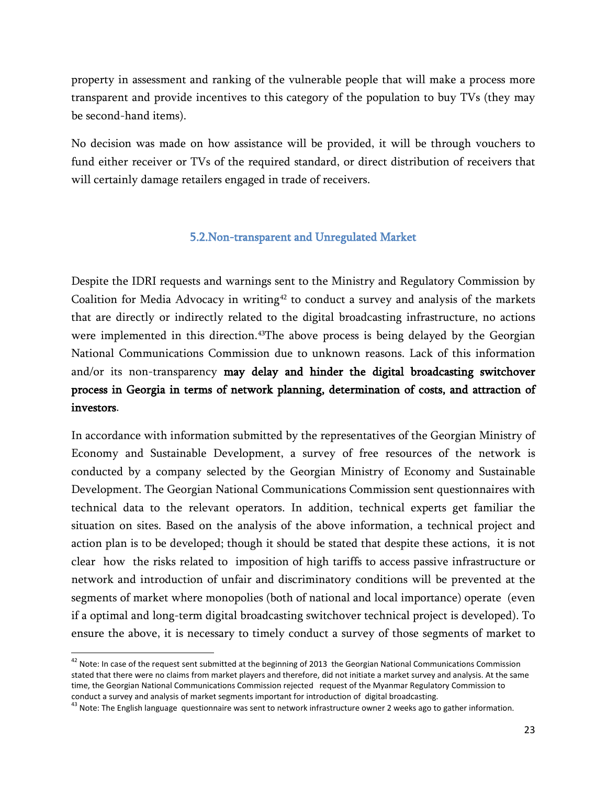property in assessment and ranking of the vulnerable people that will make a process more transparent and provide incentives to this category of the population to buy TVs (they may be second-hand items).

No decision was made on how assistance will be provided, it will be through vouchers to fund either receiver or TVs of the required standard, or direct distribution of receivers that will certainly damage retailers engaged in trade of receivers.

### 5.2.Non-transparent and Unregulated Market

<span id="page-22-0"></span>Despite the IDRI requests and warnings sent to the Ministry and Regulatory Commission by Coalition for Media Advocacy in writing<sup>42</sup> to conduct a survey and analysis of the markets that are directly or indirectly related to the digital broadcasting infrastructure, no actions were implemented in this direction.<sup>[43](#page-22-2)</sup>The above process is being delayed by the Georgian National Communications Commission due to unknown reasons. Lack of this information and/or its non-transparency may delay and hinder the digital broadcasting switchover process in Georgia in terms of network planning, determination of costs, and attraction of investors.

In accordance with information submitted by the representatives of the Georgian Ministry of Economy and Sustainable Development, a survey of free resources of the network is conducted by a company selected by the Georgian Ministry of Economy and Sustainable Development. The Georgian National Communications Commission sent questionnaires with technical data to the relevant operators. In addition, technical experts get familiar the situation on sites. Based on the analysis of the above information, a technical project and action plan is to be developed; though it should be stated that despite these actions, it is not clear how the risks related to imposition of high tariffs to access passive infrastructure or network and introduction of unfair and discriminatory conditions will be prevented at the segments of market where monopolies (both of national and local importance) operate (even if a optimal and long-term digital broadcasting switchover technical project is developed). To ensure the above, it is necessary to timely conduct a survey of those segments of market to

<span id="page-22-1"></span><sup>&</sup>lt;sup>42</sup> Note: In case of the request sent submitted at the beginning of 2013 the Georgian National Communications Commission stated that there were no claims from market players and therefore, did not initiate a market survey and analysis. At the same time, the Georgian National Communications Commission rejected request of the Myanmar Regulatory Commission to conduct a survey and analysis of market segments important for introduction of digital broadcasting.

<span id="page-22-2"></span><sup>&</sup>lt;sup>43</sup> Note: The English language questionnaire was sent to network infrastructure owner 2 weeks ago to gather information.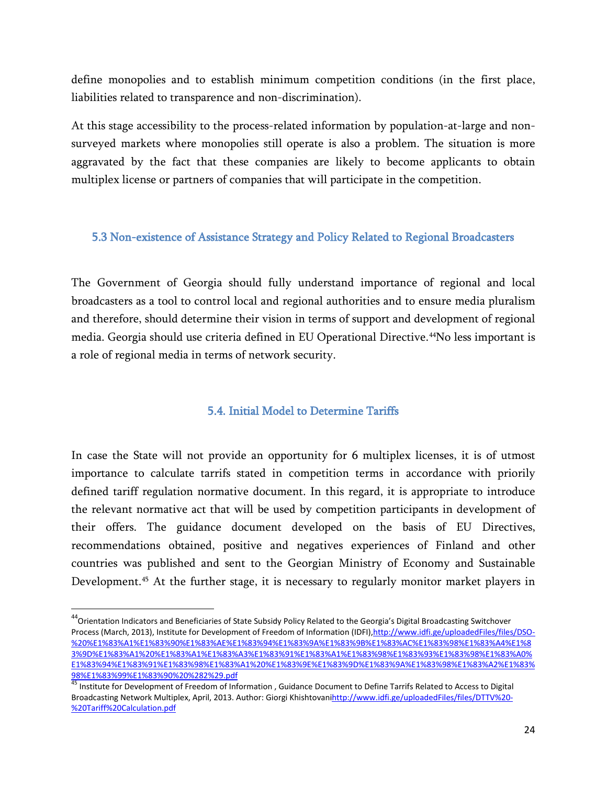define monopolies and to establish minimum competition conditions (in the first place, liabilities related to transparence and non-discrimination).

At this stage accessibility to the process-related information by population-at-large and nonsurveyed markets where monopolies still operate is also a problem. The situation is more aggravated by the fact that these companies are likely to become applicants to obtain multiplex license or partners of companies that will participate in the competition.

### <span id="page-23-0"></span>5.3 Non-existence of Assistance Strategy and Policy Related to Regional Broadcasters

The Government of Georgia should fully understand importance of regional and local broadcasters as a tool to control local and regional authorities and to ensure media pluralism and therefore, should determine their vision in terms of support and development of regional media. Georgia should use criteria defined in EU Operational Directive.[44N](#page-23-2)o less important is a role of regional media in terms of network security.

### 5.4. Initial Model to Determine Tariffs

<span id="page-23-1"></span>In case the State will not provide an opportunity for 6 multiplex licenses, it is of utmost importance to calculate tarrifs stated in competition terms in accordance with priorily defined tariff regulation normative document. In this regard, it is appropriate to introduce the relevant normative act that will be used by competition participants in development of their offers. The guidance document developed on the basis of EU Directives, recommendations obtained, positive and negatives experiences of Finland and other countries was published and sent to the Georgian Ministry of Economy and Sustainable Development.<sup>[45](#page-23-3)</sup> At the further stage, it is necessary to regularly monitor market players in

<span id="page-23-2"></span><sup>&</sup>lt;sup>44</sup> Orientation Indicators and Beneficiaries of State Subsidy Policy Related to the Georgia's Digital Broadcasting Switchover Process (March, 2013), Institute for Development of Freedom of Information (IDFI), [http://www.idfi.ge/uploadedFiles/files/DSO-](http://www.idfi.ge/uploadedFiles/files/DSO-%20%E1%83%A1%E1%83%90%E1%83%AE%E1%83%94%E1%83%9A%E1%83%9B%E1%83%AC%E1%83%98%E1%83%A4%E1%83%9D%E1%83%A1%20%E1%83%A1%E1%83%A3%E1%83%91%E1%83%A1%E1%83%98%E1%83%93%E1%83%98%E1%83%A0%E1%83%94%E1%83%91%E1%83%98%E1%83%A1%20%E1%83%9E%E1%83%9D%E1%83%9A%E1%83%98%E1%83%A2%E1%83%98%E1%83%99%E1%83%90%20%282%29.pdf) [%20%E1%83%A1%E1%83%90%E1%83%AE%E1%83%94%E1%83%9A%E1%83%9B%E1%83%AC%E1%83%98%E1%83%A4%E1%8](http://www.idfi.ge/uploadedFiles/files/DSO-%20%E1%83%A1%E1%83%90%E1%83%AE%E1%83%94%E1%83%9A%E1%83%9B%E1%83%AC%E1%83%98%E1%83%A4%E1%83%9D%E1%83%A1%20%E1%83%A1%E1%83%A3%E1%83%91%E1%83%A1%E1%83%98%E1%83%93%E1%83%98%E1%83%A0%E1%83%94%E1%83%91%E1%83%98%E1%83%A1%20%E1%83%9E%E1%83%9D%E1%83%9A%E1%83%98%E1%83%A2%E1%83%98%E1%83%99%E1%83%90%20%282%29.pdf) [3%9D%E1%83%A1%20%E1%83%A1%E1%83%A3%E1%83%91%E1%83%A1%E1%83%98%E1%83%93%E1%83%98%E1%83%A0%](http://www.idfi.ge/uploadedFiles/files/DSO-%20%E1%83%A1%E1%83%90%E1%83%AE%E1%83%94%E1%83%9A%E1%83%9B%E1%83%AC%E1%83%98%E1%83%A4%E1%83%9D%E1%83%A1%20%E1%83%A1%E1%83%A3%E1%83%91%E1%83%A1%E1%83%98%E1%83%93%E1%83%98%E1%83%A0%E1%83%94%E1%83%91%E1%83%98%E1%83%A1%20%E1%83%9E%E1%83%9D%E1%83%9A%E1%83%98%E1%83%A2%E1%83%98%E1%83%99%E1%83%90%20%282%29.pdf) [E1%83%94%E1%83%91%E1%83%98%E1%83%A1%20%E1%83%9E%E1%83%9D%E1%83%9A%E1%83%98%E1%83%A2%E1%83%](http://www.idfi.ge/uploadedFiles/files/DSO-%20%E1%83%A1%E1%83%90%E1%83%AE%E1%83%94%E1%83%9A%E1%83%9B%E1%83%AC%E1%83%98%E1%83%A4%E1%83%9D%E1%83%A1%20%E1%83%A1%E1%83%A3%E1%83%91%E1%83%A1%E1%83%98%E1%83%93%E1%83%98%E1%83%A0%E1%83%94%E1%83%91%E1%83%98%E1%83%A1%20%E1%83%9E%E1%83%9D%E1%83%9A%E1%83%98%E1%83%A2%E1%83%98%E1%83%99%E1%83%90%20%282%29.pdf) [98%E1%83%99%E1%83%90%20%282%29.pdf](http://www.idfi.ge/uploadedFiles/files/DSO-%20%E1%83%A1%E1%83%90%E1%83%AE%E1%83%94%E1%83%9A%E1%83%9B%E1%83%AC%E1%83%98%E1%83%A4%E1%83%9D%E1%83%A1%20%E1%83%A1%E1%83%A3%E1%83%91%E1%83%A1%E1%83%98%E1%83%93%E1%83%98%E1%83%A0%E1%83%94%E1%83%91%E1%83%98%E1%83%A1%20%E1%83%9E%E1%83%9D%E1%83%9A%E1%83%98%E1%83%A2%E1%83%98%E1%83%99%E1%83%90%20%282%29.pdf)

<span id="page-23-3"></span><sup>45</sup> Institute for Development of Freedom of Information , Guidance Document to Define Tarrifs Related to Access to Digital Broadcasting Network Multiplex, April, 2013. Author: Giorgi Khishtovan[ihttp://www.idfi.ge/uploadedFiles/files/DTTV%20-](http://www.idfi.ge/uploadedFiles/files/DTTV%20-%20Tariff%20Calculation.pdf) [%20Tariff%20Calculation.pdf](http://www.idfi.ge/uploadedFiles/files/DTTV%20-%20Tariff%20Calculation.pdf)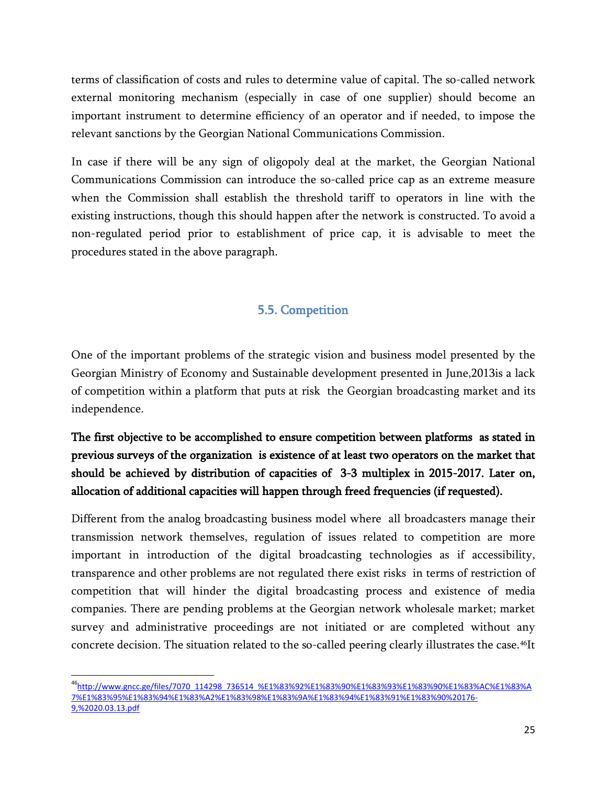terms of classification of costs and rules to determine value of capital. The so-called network external monitoring mechanism (especially in case of one supplier) should become an important instrument to determine efficiency of an operator and if needed, to impose the relevant sanctions by the Georgian National Communications Commission.

In case if there will be any sign of oligopoly deal at the market, the Georgian National Communications Commission can introduce the so-called price cap as an extreme measure when the Commission shall establish the threshold tariff to operators in line with the existing instructions, though this should happen after the network is constructed. To avoid a non-regulated period prior to establishment of price cap, it is advisable to meet the procedures stated in the above paragraph.

## 5.5. Competition

<span id="page-24-0"></span>One of the important problems of the strategic vision and business model presented by the Georgian Ministry of Economy and Sustainable development presented in June,2013is a lack of competition within a platform that puts at risk the Georgian broadcasting market and its independence.

# The first objective to be accomplished to ensure competition between platforms as stated in previous surveys of the organization is existence of at least two operators on the market that should be achieved by distribution of capacities of 3-3 multiplex in 2015-2017. Later on, allocation of additional capacities will happen through freed frequencies (if requested).

Different from the analog broadcasting business model where all broadcasters manage their transmission network themselves, regulation of issues related to competition are more important in introduction of the digital broadcasting technologies as if accessibility, transparence and other problems are not regulated there exist risks in terms of restriction of competition that will hinder the digital broadcasting process and existence of media companies. There are pending problems at the Georgian network wholesale market; market survey and administrative proceedings are not initiated or are completed without any concrete decision. The situation related to the so-called peering clearly illustrates the case.<sup>[46](#page-24-1)</sup>It

<span id="page-24-1"></span> <sup>46</sup> [http://www.gncc.ge/files/7070\\_114298\\_736514\\_%E1%83%92%E1%83%90%E1%83%93%E1%83%90%E1%83%AC%E1%83%A](http://www.gncc.ge/files/7070_114298_736514_%E1%83%92%E1%83%90%E1%83%93%E1%83%90%E1%83%AC%E1%83%A7%E1%83%95%E1%83%94%E1%83%A2%E1%83%98%E1%83%9A%E1%83%94%E1%83%91%E1%83%90%20176-9,%2020.03.13.pdf) [7%E1%83%95%E1%83%94%E1%83%A2%E1%83%98%E1%83%9A%E1%83%94%E1%83%91%E1%83%90%20176-](http://www.gncc.ge/files/7070_114298_736514_%E1%83%92%E1%83%90%E1%83%93%E1%83%90%E1%83%AC%E1%83%A7%E1%83%95%E1%83%94%E1%83%A2%E1%83%98%E1%83%9A%E1%83%94%E1%83%91%E1%83%90%20176-9,%2020.03.13.pdf) [9,%2020.03.13.pdf](http://www.gncc.ge/files/7070_114298_736514_%E1%83%92%E1%83%90%E1%83%93%E1%83%90%E1%83%AC%E1%83%A7%E1%83%95%E1%83%94%E1%83%A2%E1%83%98%E1%83%9A%E1%83%94%E1%83%91%E1%83%90%20176-9,%2020.03.13.pdf)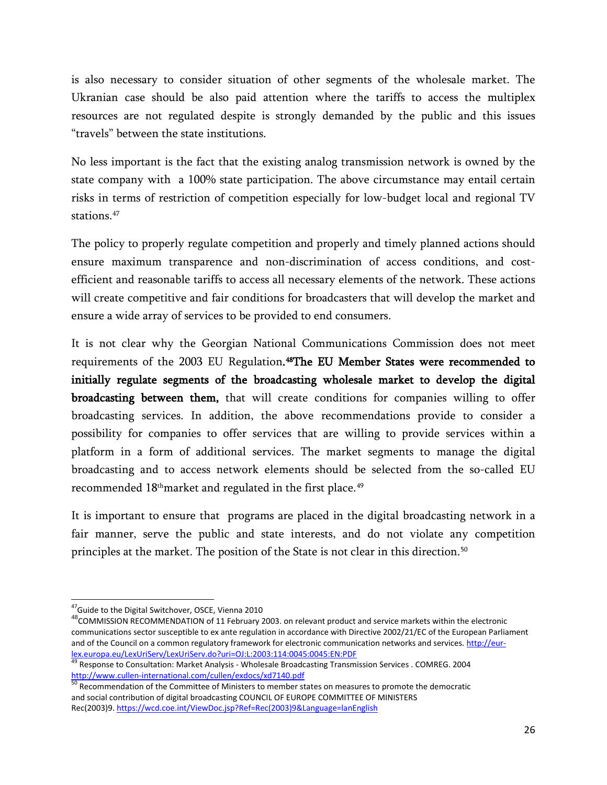is also necessary to consider situation of other segments of the wholesale market. The Ukranian case should be also paid attention where the tariffs to access the multiplex resources are not regulated despite is strongly demanded by the public and this issues "travels" between the state institutions.

No less important is the fact that the existing analog transmission network is owned by the state company with a 100% state participation. The above circumstance may entail certain risks in terms of restriction of competition especially for low-budget local and regional TV stations.[47](#page-25-0)

The policy to properly regulate competition and properly and timely planned actions should ensure maximum transparence and non-discrimination of access conditions, and costefficient and reasonable tariffs to access all necessary elements of the network. These actions will create competitive and fair conditions for broadcasters that will develop the market and ensure a wide array of services to be provided to end consumers.

It is not clear why the Georgian National Communications Commission does not meet requirements of the 2003 EU Regulation.<sup>48</sup>The EU Member States were recommended to initially regulate segments of the broadcasting wholesale market to develop the digital broadcasting between them, that will create conditions for companies willing to offer broadcasting services. In addition, the above recommendations provide to consider a possibility for companies to offer services that are willing to provide services within a platform in a form of additional services. The market segments to manage the digital broadcasting and to access network elements should be selected from the so-called EU recommended 18thmarket and regulated in the first place. [49](#page-25-2)

It is important to ensure that programs are placed in the digital broadcasting network in a fair manner, serve the public and state interests, and do not violate any competition principles at the market. The position of the State is not clear in this direction.<sup>[50](#page-25-3)</sup>

<sup>&</sup>lt;sup>47</sup>Guide to the Digital Switchover, OSCE, Vienna 2010

<span id="page-25-1"></span><span id="page-25-0"></span><sup>&</sup>lt;sup>48</sup>COMMISSION RECOMMENDATION of 11 February 2003. on relevant product and service markets within the electronic communications sector susceptible to ex ante regulation in accordance with Directive 2002/21/EC of the European Parliament and of the Council on a common regulatory framework for electronic communication networks and services[. http://eur](http://eur-lex.europa.eu/LexUriServ/LexUriServ.do?uri=OJ:L:2003:114:0045:0045:EN:PDF)[lex.europa.eu/LexUriServ/LexUriServ.do?uri=OJ:L:2003:114:0045:0045:EN:PDF](http://eur-lex.europa.eu/LexUriServ/LexUriServ.do?uri=OJ:L:2003:114:0045:0045:EN:PDF)

<span id="page-25-2"></span><sup>&</sup>lt;sup>49</sup> Response to Consultation: Market Analysis - Wholesale Broadcasting Transmission Services . COMREG. 2004 <http://www.cullen-international.com/cullen/exdocs/xd7140.pdf><br>
<sup>50</sup> Recommendation of the Committee of Ministers to member states on measures to promote the democratic

<span id="page-25-3"></span>and social contribution of digital broadcasting COUNCIL OF EUROPE COMMITTEE OF MINISTERS Rec(2003)9[. https://wcd.coe.int/ViewDoc.jsp?Ref=Rec\(2003\)9&Language=lanEnglish](https://wcd.coe.int/ViewDoc.jsp?Ref=Rec(2003)9&Language=lanEnglish)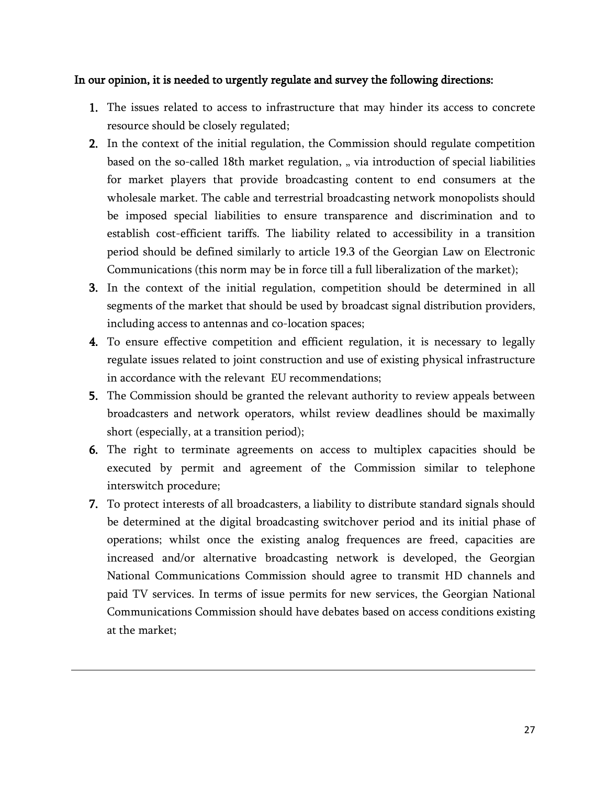### In our opinion, it is needed to urgently regulate and survey the following directions:

- 1. The issues related to access to infrastructure that may hinder its access to concrete resource should be closely regulated;
- 2. In the context of the initial regulation, the Commission should regulate competition based on the so-called 18th market regulation, "via introduction of special liabilities for market players that provide broadcasting content to end consumers at the wholesale market. The cable and terrestrial broadcasting network monopolists should be imposed special liabilities to ensure transparence and discrimination and to establish cost-efficient tariffs. The liability related to accessibility in a transition period should be defined similarly to article 19.3 of the Georgian Law on Electronic Communications (this norm may be in force till a full liberalization of the market);
- 3. In the context of the initial regulation, competition should be determined in all segments of the market that should be used by broadcast signal distribution providers, including access to antennas and co-location spaces;
- 4. To ensure effective competition and efficient regulation, it is necessary to legally regulate issues related to joint construction and use of existing physical infrastructure in accordance with the relevant EU recommendations;
- 5. The Commission should be granted the relevant authority to review appeals between broadcasters and network operators, whilst review deadlines should be maximally short (especially, at a transition period);
- 6. The right to terminate agreements on access to multiplex capacities should be executed by permit and agreement of the Commission similar to telephone interswitch procedure;
- 7. To protect interests of all broadcasters, a liability to distribute standard signals should be determined at the digital broadcasting switchover period and its initial phase of operations; whilst once the existing analog frequences are freed, capacities are increased and/or alternative broadcasting network is developed, the Georgian National Communications Commission should agree to transmit HD channels and paid TV services. In terms of issue permits for new services, the Georgian National Communications Commission should have debates based on access conditions existing at the market;

l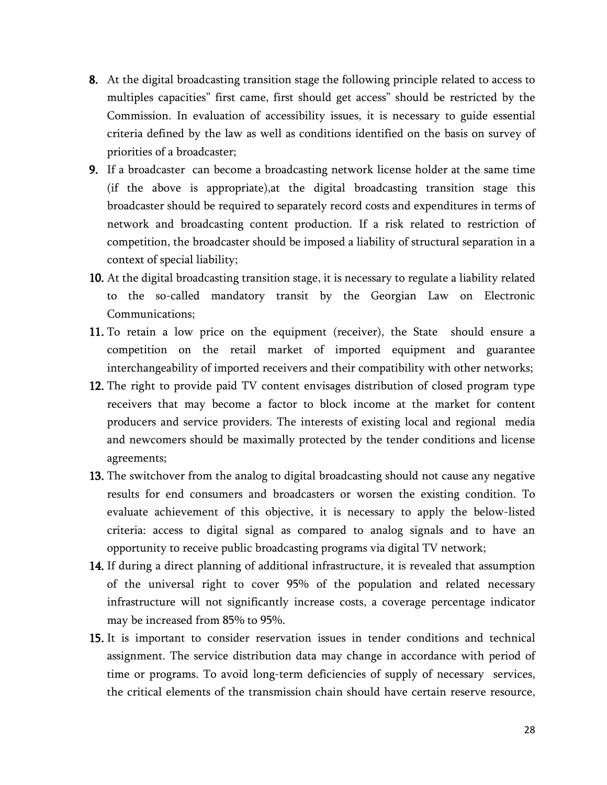- 8. At the digital broadcasting transition stage the following principle related to access to multiples capacities" first came, first should get access" should be restricted by the Commission. In evaluation of accessibility issues, it is necessary to guide essential criteria defined by the law as well as conditions identified on the basis on survey of priorities of a broadcaster;
- 9. If a broadcaster can become a broadcasting network license holder at the same time (if the above is appropriate),at the digital broadcasting transition stage this broadcaster should be required to separately record costs and expenditures in terms of network and broadcasting content production. If a risk related to restriction of competition, the broadcaster should be imposed a liability of structural separation in a context of special liability;
- 10. At the digital broadcasting transition stage, it is necessary to regulate a liability related to the so-called mandatory transit by the Georgian Law on Electronic Communications;
- 11. To retain a low price on the equipment (receiver), the State should ensure a competition on the retail market of imported equipment and guarantee interchangeability of imported receivers and their compatibility with other networks;
- 12. The right to provide paid TV content envisages distribution of closed program type receivers that may become a factor to block income at the market for content producers and service providers. The interests of existing local and regional media and newcomers should be maximally protected by the tender conditions and license agreements;
- 13. The switchover from the analog to digital broadcasting should not cause any negative results for end consumers and broadcasters or worsen the existing condition. To evaluate achievement of this objective, it is necessary to apply the below-listed criteria: access to digital signal as compared to analog signals and to have an opportunity to receive public broadcasting programs via digital TV network;
- 14. If during a direct planning of additional infrastructure, it is revealed that assumption of the universal right to cover 95% of the population and related necessary infrastructure will not significantly increase costs, a coverage percentage indicator may be increased from 85% to 95%.
- 15. It is important to consider reservation issues in tender conditions and technical assignment. The service distribution data may change in accordance with period of time or programs. To avoid long-term deficiencies of supply of necessary services, the critical elements of the transmission chain should have certain reserve resource,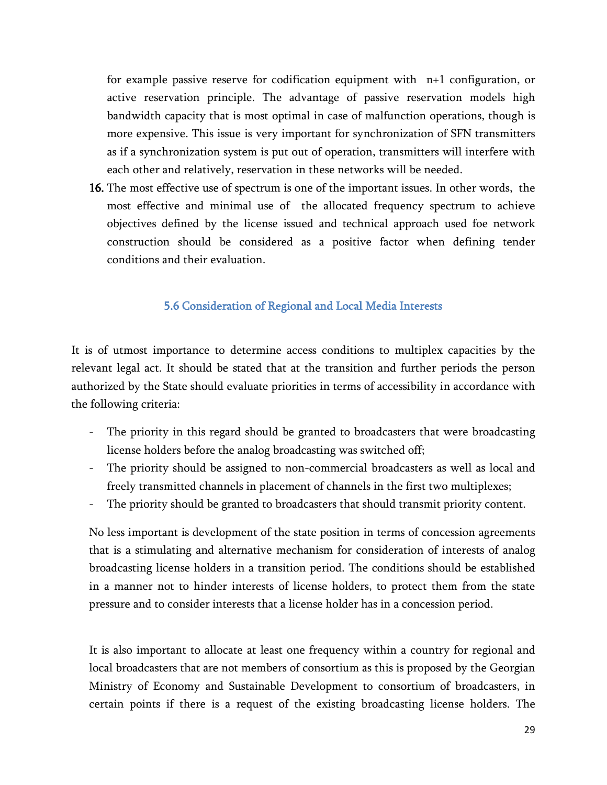for example passive reserve for codification equipment with n+1 configuration, or active reservation principle. The advantage of passive reservation models high bandwidth capacity that is most optimal in case of malfunction operations, though is more expensive. This issue is very important for synchronization of SFN transmitters as if a synchronization system is put out of operation, transmitters will interfere with each other and relatively, reservation in these networks will be needed.

16. The most effective use of spectrum is one of the important issues. In other words, the most effective and minimal use of the allocated frequency spectrum to achieve objectives defined by the license issued and technical approach used foe network construction should be considered as a positive factor when defining tender conditions and their evaluation.

### 5.6 Consideration of Regional and Local Media Interests

<span id="page-28-0"></span>It is of utmost importance to determine access conditions to multiplex capacities by the relevant legal act. It should be stated that at the transition and further periods the person authorized by the State should evaluate priorities in terms of accessibility in accordance with the following criteria:

- The priority in this regard should be granted to broadcasters that were broadcasting license holders before the analog broadcasting was switched off;
- The priority should be assigned to non-commercial broadcasters as well as local and freely transmitted channels in placement of channels in the first two multiplexes;
- The priority should be granted to broadcasters that should transmit priority content.

No less important is development of the state position in terms of concession agreements that is a stimulating and alternative mechanism for consideration of interests of analog broadcasting license holders in a transition period. The conditions should be established in a manner not to hinder interests of license holders, to protect them from the state pressure and to consider interests that a license holder has in a concession period.

It is also important to allocate at least one frequency within a country for regional and local broadcasters that are not members of consortium as this is proposed by the Georgian Ministry of Economy and Sustainable Development to consortium of broadcasters, in certain points if there is a request of the existing broadcasting license holders. The